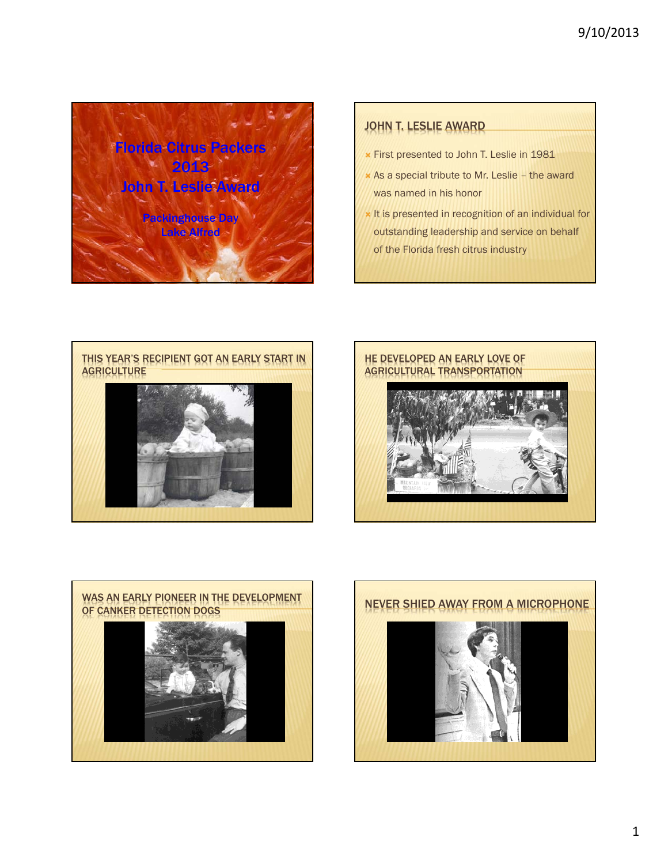

## JOHN T. LESLIE AWARD

- First presented to John T. Leslie in 1981
- As a special tribute to Mr. Leslie the award was named in his honor
- It is presented in recognition of an individual for outstanding leadership and service on behalf of the Florida fresh citrus industry







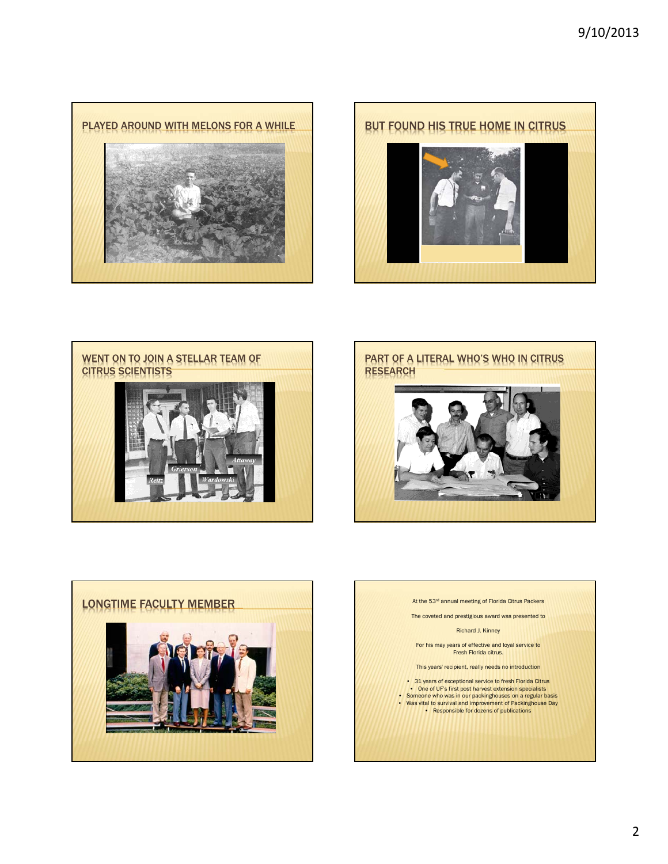







The coveted and prestigious award was presented to Richard J. Kinney For his may years of effective and loyal service to Fresh Florida citrus. This years' recipient, really needs no introduction • 31 years of exceptional service to fresh Florida Citrus • One of UF's first post harvest extension specialists • Someone who was in our packinghouses on a regular basis • Was vital to survival and improvement of Packinghouse Day • Responsible for dozens of publications